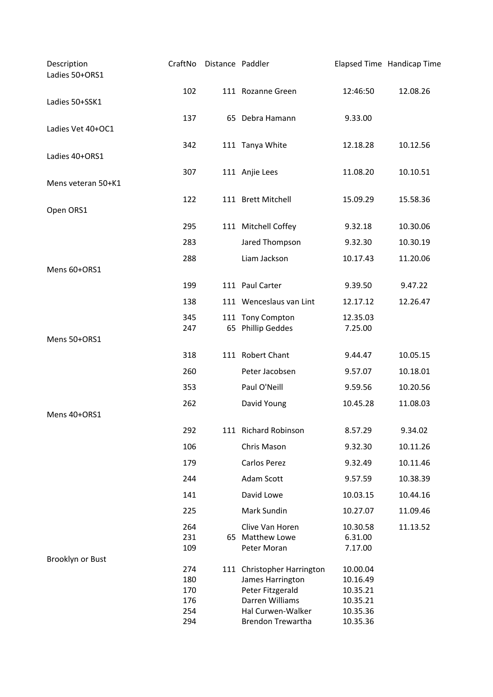| Description<br>Ladies 50+ORS1 | CraftNo    | Distance Paddler |                                       |                      | Elapsed Time Handicap Time |
|-------------------------------|------------|------------------|---------------------------------------|----------------------|----------------------------|
| Ladies 50+SSK1                | 102        |                  | 111 Rozanne Green                     | 12:46:50             | 12.08.26                   |
|                               | 137        |                  | 65 Debra Hamann                       | 9.33.00              |                            |
| Ladies Vet 40+OC1             |            |                  |                                       |                      |                            |
|                               | 342        |                  | 111 Tanya White                       | 12.18.28             | 10.12.56                   |
| Ladies 40+ORS1                |            |                  |                                       |                      |                            |
| Mens veteran 50+K1            | 307        |                  | 111 Anjie Lees                        | 11.08.20             | 10.10.51                   |
|                               | 122        |                  | 111 Brett Mitchell                    | 15.09.29             | 15.58.36                   |
| Open ORS1                     |            |                  |                                       |                      |                            |
|                               | 295        |                  | 111 Mitchell Coffey                   | 9.32.18              | 10.30.06                   |
|                               | 283        |                  | Jared Thompson                        | 9.32.30              | 10.30.19                   |
|                               | 288        |                  | Liam Jackson                          | 10.17.43             | 11.20.06                   |
| Mens 60+ORS1                  |            |                  |                                       |                      |                            |
|                               | 199        |                  | 111 Paul Carter                       | 9.39.50              | 9.47.22                    |
|                               | 138        |                  | 111 Wenceslaus van Lint               | 12.17.12             | 12.26.47                   |
|                               | 345<br>247 |                  | 111 Tony Compton<br>65 Phillip Geddes | 12.35.03<br>7.25.00  |                            |
| Mens 50+ORS1                  |            |                  |                                       |                      |                            |
|                               | 318        |                  | 111 Robert Chant                      | 9.44.47              | 10.05.15                   |
|                               | 260        |                  | Peter Jacobsen                        | 9.57.07              | 10.18.01                   |
|                               | 353        |                  | Paul O'Neill                          | 9.59.56              | 10.20.56                   |
|                               | 262        |                  | David Young                           | 10.45.28             | 11.08.03                   |
| Mens 40+ORS1                  |            |                  |                                       |                      |                            |
|                               | 292        |                  | 111 Richard Robinson                  | 8.57.29              | 9.34.02                    |
|                               | 106        |                  | Chris Mason                           | 9.32.30              | 10.11.26                   |
|                               | 179        |                  | Carlos Perez                          | 9.32.49              | 10.11.46                   |
|                               | 244        |                  | Adam Scott                            | 9.57.59              | 10.38.39                   |
|                               | 141        |                  | David Lowe                            | 10.03.15             | 10.44.16                   |
|                               | 225        |                  | Mark Sundin                           | 10.27.07             | 11.09.46                   |
|                               | 264<br>231 |                  | Clive Van Horen<br>65 Matthew Lowe    | 10.30.58<br>6.31.00  | 11.13.52                   |
|                               | 109        |                  | Peter Moran                           | 7.17.00              |                            |
| Brooklyn or Bust              | 274        |                  | 111 Christopher Harrington            | 10.00.04             |                            |
|                               | 180        |                  | James Harrington                      | 10.16.49             |                            |
|                               | 170        |                  | Peter Fitzgerald                      | 10.35.21             |                            |
|                               | 176<br>254 |                  | Darren Williams<br>Hal Curwen-Walker  | 10.35.21<br>10.35.36 |                            |
|                               | 294        |                  | Brendon Trewartha                     | 10.35.36             |                            |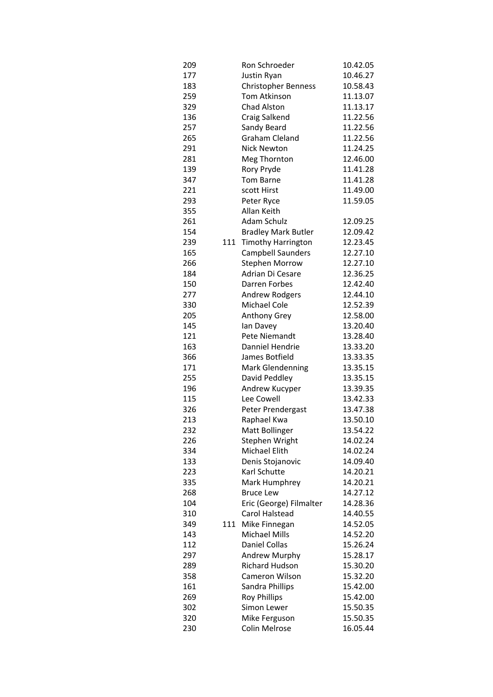| 209 |     | Ron Schroeder              | 10.42.05 |
|-----|-----|----------------------------|----------|
| 177 |     | Justin Ryan                | 10.46.27 |
| 183 |     | <b>Christopher Benness</b> | 10.58.43 |
| 259 |     | <b>Tom Atkinson</b>        | 11.13.07 |
| 329 |     | Chad Alston                | 11.13.17 |
| 136 |     | Craig Salkend              | 11.22.56 |
| 257 |     | Sandy Beard                | 11.22.56 |
| 265 |     | Graham Cleland             | 11.22.56 |
| 291 |     | <b>Nick Newton</b>         | 11.24.25 |
| 281 |     | Meg Thornton               | 12.46.00 |
| 139 |     | Rory Pryde                 | 11.41.28 |
| 347 |     | Tom Barne                  | 11.41.28 |
| 221 |     | scott Hirst                | 11.49.00 |
| 293 |     | Peter Ryce                 | 11.59.05 |
| 355 |     | Allan Keith                |          |
| 261 |     | <b>Adam Schulz</b>         | 12.09.25 |
| 154 |     | <b>Bradley Mark Butler</b> | 12.09.42 |
| 239 | 111 | <b>Timothy Harrington</b>  | 12.23.45 |
| 165 |     | Campbell Saunders          | 12.27.10 |
| 266 |     | <b>Stephen Morrow</b>      | 12.27.10 |
| 184 |     | Adrian Di Cesare           | 12.36.25 |
| 150 |     | Darren Forbes              | 12.42.40 |
| 277 |     | <b>Andrew Rodgers</b>      | 12.44.10 |
| 330 |     | Michael Cole               | 12.52.39 |
| 205 |     | Anthony Grey               | 12.58.00 |
| 145 |     | lan Davey                  | 13.20.40 |
| 121 |     | Pete Niemandt              | 13.28.40 |
| 163 |     | Danniel Hendrie            | 13.33.20 |
| 366 |     | James Botfield             | 13.33.35 |
| 171 |     | <b>Mark Glendenning</b>    | 13.35.15 |
| 255 |     | David Peddley              | 13.35.15 |
| 196 |     | Andrew Kucyper             | 13.39.35 |
| 115 |     | Lee Cowell                 | 13.42.33 |
| 326 |     | Peter Prendergast          | 13.47.38 |
| 213 |     | Raphael Kwa                | 13.50.10 |
| 232 |     | Matt Bollinger             | 13.54.22 |
| 226 |     | Stephen Wright             | 14.02.24 |
| 334 |     | Michael Elith              | 14.02.24 |
| 133 |     | Denis Stojanovic           | 14.09.40 |
| 223 |     | Karl Schutte               | 14.20.21 |
| 335 |     | Mark Humphrey              | 14.20.21 |
| 268 |     | <b>Bruce Lew</b>           | 14.27.12 |
| 104 |     | Eric (George) Filmalter    | 14.28.36 |
| 310 |     | Carol Halstead             | 14.40.55 |
| 349 | 111 | Mike Finnegan              | 14.52.05 |
| 143 |     | Michael Mills              | 14.52.20 |
| 112 |     | Daniel Collas              | 15.26.24 |
| 297 |     | Andrew Murphy              | 15.28.17 |
| 289 |     | Richard Hudson             | 15.30.20 |
| 358 |     | Cameron Wilson             | 15.32.20 |
| 161 |     | Sandra Phillips            | 15.42.00 |
| 269 |     | <b>Roy Phillips</b>        | 15.42.00 |
| 302 |     | Simon Lewer                | 15.50.35 |
| 320 |     | Mike Ferguson              | 15.50.35 |
| 230 |     | Colin Melrose              | 16.05.44 |
|     |     |                            |          |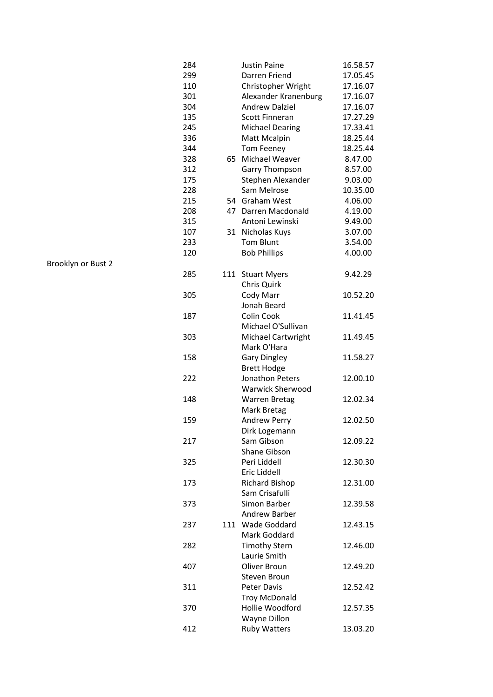| 284 |     | <b>Justin Paine</b>     | 16.58.57 |
|-----|-----|-------------------------|----------|
| 299 |     | Darren Friend           | 17.05.45 |
| 110 |     | Christopher Wright      | 17.16.07 |
| 301 |     | Alexander Kranenburg    | 17.16.07 |
| 304 |     | <b>Andrew Dalziel</b>   | 17.16.07 |
| 135 |     | Scott Finneran          | 17.27.29 |
| 245 |     | <b>Michael Dearing</b>  | 17.33.41 |
| 336 |     | Matt Mcalpin            | 18.25.44 |
| 344 |     | Tom Feeney              | 18.25.44 |
| 328 | 65  | Michael Weaver          | 8.47.00  |
| 312 |     | Garry Thompson          | 8.57.00  |
| 175 |     | Stephen Alexander       | 9.03.00  |
| 228 |     | Sam Melrose             | 10.35.00 |
| 215 |     | 54 Graham West          | 4.06.00  |
| 208 |     | 47 Darren Macdonald     | 4.19.00  |
| 315 |     | Antoni Lewinski         | 9.49.00  |
| 107 | 31  | Nicholas Kuys           | 3.07.00  |
| 233 |     | <b>Tom Blunt</b>        | 3.54.00  |
| 120 |     | <b>Bob Phillips</b>     | 4.00.00  |
|     |     |                         |          |
| 285 | 111 | <b>Stuart Myers</b>     | 9.42.29  |
|     |     | Chris Quirk             |          |
| 305 |     | Cody Marr               | 10.52.20 |
|     |     | Jonah Beard             |          |
| 187 |     | Colin Cook              | 11.41.45 |
|     |     | Michael O'Sullivan      |          |
| 303 |     | Michael Cartwright      | 11.49.45 |
|     |     | Mark O'Hara             |          |
| 158 |     | <b>Gary Dingley</b>     | 11.58.27 |
|     |     | <b>Brett Hodge</b>      |          |
| 222 |     | Jonathon Peters         | 12.00.10 |
|     |     | <b>Warwick Sherwood</b> |          |
| 148 |     | Warren Bretag           | 12.02.34 |
|     |     | Mark Bretag             |          |
| 159 |     | <b>Andrew Perry</b>     | 12.02.50 |
|     |     | Dirk Logemann           |          |
| 217 |     | Sam Gibson              | 12.09.22 |
|     |     | Shane Gibson            |          |
| 325 |     | Peri Liddell            | 12.30.30 |
|     |     | Eric Liddell            |          |
| 173 |     | <b>Richard Bishop</b>   | 12.31.00 |
|     |     | Sam Crisafulli          |          |
| 373 |     | Simon Barber            | 12.39.58 |
|     |     | Andrew Barber           |          |
| 237 |     | 111 Wade Goddard        | 12.43.15 |
|     |     | Mark Goddard            |          |
| 282 |     | <b>Timothy Stern</b>    | 12.46.00 |
|     |     | Laurie Smith            |          |
| 407 |     | Oliver Broun            | 12.49.20 |
|     |     | Steven Broun            |          |
| 311 |     | Peter Davis             | 12.52.42 |
|     |     | <b>Troy McDonald</b>    |          |
| 370 |     | Hollie Woodford         | 12.57.35 |
|     |     | Wayne Dillon            |          |
| 412 |     | Ruby Watters            | 13.03.20 |
|     |     |                         |          |

Brooklyn or Bust 2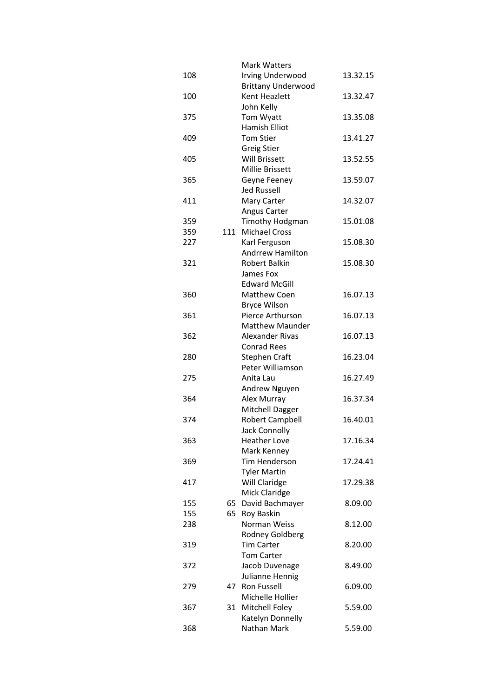|     |    | <b>Mark Watters</b>       |          |
|-----|----|---------------------------|----------|
| 108 |    | <b>Irving Underwood</b>   | 13.32.15 |
|     |    | <b>Brittany Underwood</b> |          |
| 100 |    | Kent Heazlett             | 13.32.47 |
|     |    | John Kelly                |          |
| 375 |    | Tom Wyatt                 | 13.35.08 |
|     |    | Hamish Elliot             |          |
| 409 |    | <b>Tom Stier</b>          |          |
|     |    |                           | 13.41.27 |
|     |    | Greig Stier               |          |
| 405 |    | <b>Will Brissett</b>      | 13.52.55 |
|     |    | Millie Brissett           |          |
| 365 |    | Geyne Feeney              | 13.59.07 |
|     |    | <b>Jed Russell</b>        |          |
| 411 |    | Mary Carter               | 14.32.07 |
|     |    | Angus Carter              |          |
| 359 |    | Timothy Hodgman           | 15.01.08 |
| 359 |    | 111 Michael Cross         |          |
| 227 |    | Karl Ferguson             | 15.08.30 |
|     |    | Andrrew Hamilton          |          |
| 321 |    | Robert Balkin             | 15.08.30 |
|     |    | James Fox                 |          |
|     |    | <b>Edward McGill</b>      |          |
| 360 |    | Matthew Coen              | 16.07.13 |
|     |    |                           |          |
|     |    | <b>Bryce Wilson</b>       |          |
| 361 |    | Pierce Arthurson          | 16.07.13 |
|     |    | <b>Matthew Maunder</b>    |          |
| 362 |    | Alexander Rivas           | 16.07.13 |
|     |    | <b>Conrad Rees</b>        |          |
| 280 |    | Stephen Craft             | 16.23.04 |
|     |    | Peter Williamson          |          |
| 275 |    | Anita Lau                 | 16.27.49 |
|     |    | Andrew Nguyen             |          |
| 364 |    | Alex Murray               | 16.37.34 |
|     |    | Mitchell Dagger           |          |
| 374 |    | <b>Robert Campbell</b>    | 16.40.01 |
|     |    | Jack Connolly             |          |
| 363 |    | <b>Heather Love</b>       | 17.16.34 |
|     |    | Mark Kenney               |          |
| 369 |    | Tim Henderson             | 17.24.41 |
|     |    | <b>Tyler Martin</b>       |          |
|     |    |                           |          |
| 417 |    | Will Claridge             | 17.29.38 |
|     |    | Mick Claridge             |          |
| 155 |    | 65 David Bachmayer        | 8.09.00  |
| 155 |    | 65 Roy Baskin             |          |
| 238 |    | Norman Weiss              | 8.12.00  |
|     |    | Rodney Goldberg           |          |
| 319 |    | <b>Tim Carter</b>         | 8.20.00  |
|     |    | <b>Tom Carter</b>         |          |
| 372 |    | Jacob Duvenage            | 8.49.00  |
|     |    | Julianne Hennig           |          |
| 279 | 47 | Ron Fussell               | 6.09.00  |
|     |    | Michelle Hollier          |          |
| 367 | 31 | Mitchell Foley            | 5.59.00  |
|     |    | Katelyn Donnelly          |          |
| 368 |    | Nathan Mark               | 5.59.00  |
|     |    |                           |          |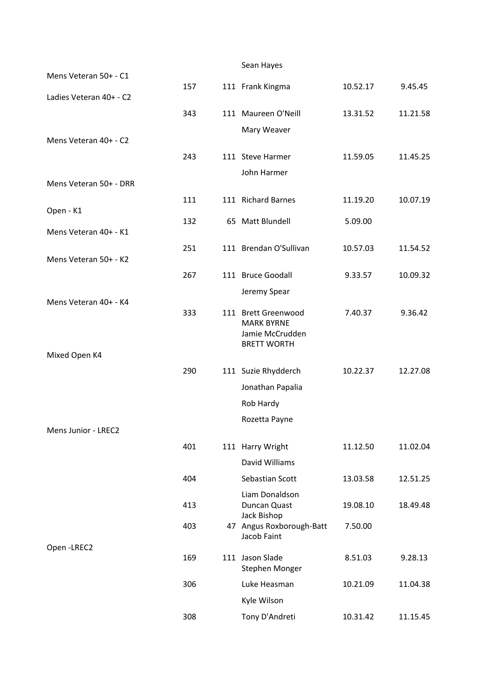|                         |     | Sean Hayes                              |          |          |
|-------------------------|-----|-----------------------------------------|----------|----------|
| Mens Veteran 50+ - C1   | 157 | 111 Frank Kingma                        | 10.52.17 | 9.45.45  |
| Ladies Veteran 40+ - C2 |     |                                         |          |          |
|                         | 343 | 111 Maureen O'Neill                     | 13.31.52 | 11.21.58 |
|                         |     | Mary Weaver                             |          |          |
| Mens Veteran 40+ - C2   |     |                                         |          |          |
|                         | 243 | 111 Steve Harmer                        | 11.59.05 | 11.45.25 |
|                         |     | John Harmer                             |          |          |
| Mens Veteran 50+ - DRR  |     |                                         |          |          |
| Open - K1               | 111 | 111 Richard Barnes                      | 11.19.20 | 10.07.19 |
|                         | 132 | 65 Matt Blundell                        | 5.09.00  |          |
| Mens Veteran 40+ - K1   |     |                                         |          |          |
|                         | 251 | 111 Brendan O'Sullivan                  | 10.57.03 | 11.54.52 |
| Mens Veteran 50+ - K2   |     |                                         |          |          |
|                         | 267 | 111 Bruce Goodall                       | 9.33.57  | 10.09.32 |
| Mens Veteran 40+ - K4   |     | Jeremy Spear                            |          |          |
|                         | 333 | 111 Brett Greenwood                     | 7.40.37  | 9.36.42  |
|                         |     | <b>MARK BYRNE</b><br>Jamie McCrudden    |          |          |
|                         |     | <b>BRETT WORTH</b>                      |          |          |
| Mixed Open K4           |     |                                         |          |          |
|                         | 290 | 111 Suzie Rhydderch                     | 10.22.37 | 12.27.08 |
|                         |     | Jonathan Papalia                        |          |          |
|                         |     | Rob Hardy                               |          |          |
|                         |     | Rozetta Payne                           |          |          |
| Mens Junior - LREC2     |     |                                         |          |          |
|                         | 401 | 111 Harry Wright                        | 11.12.50 | 11.02.04 |
|                         |     | David Williams                          |          |          |
|                         | 404 | Sebastian Scott                         | 13.03.58 | 12.51.25 |
|                         | 413 | Liam Donaldson<br>Duncan Quast          | 19.08.10 | 18.49.48 |
|                         |     | Jack Bishop                             |          |          |
|                         | 403 | 47 Angus Roxborough-Batt<br>Jacob Faint | 7.50.00  |          |
| Open-LREC2              |     |                                         |          |          |
|                         | 169 | 111 Jason Slade                         | 8.51.03  | 9.28.13  |
|                         |     | Stephen Monger                          |          |          |
|                         | 306 | Luke Heasman                            | 10.21.09 | 11.04.38 |
|                         |     | Kyle Wilson                             |          |          |
|                         | 308 | Tony D'Andreti                          | 10.31.42 | 11.15.45 |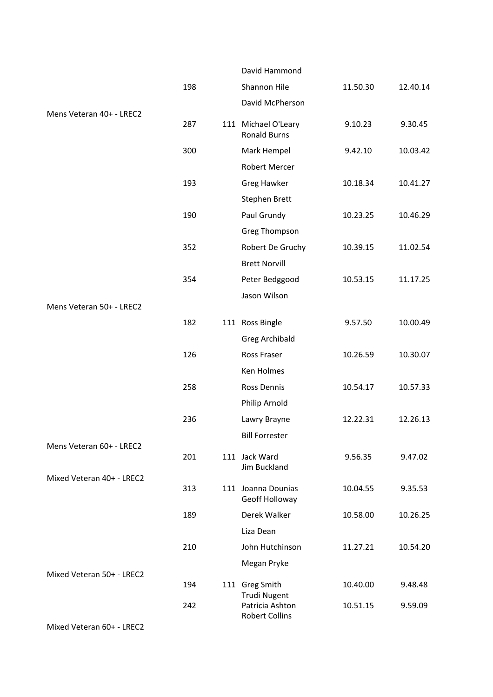|                           |     | David Hammond                              |          |          |
|---------------------------|-----|--------------------------------------------|----------|----------|
|                           | 198 | Shannon Hile                               | 11.50.30 | 12.40.14 |
|                           |     | David McPherson                            |          |          |
| Mens Veteran 40+ - LREC2  | 287 | 111 Michael O'Leary<br><b>Ronald Burns</b> | 9.10.23  | 9.30.45  |
|                           | 300 | Mark Hempel                                | 9.42.10  | 10.03.42 |
|                           |     | Robert Mercer                              |          |          |
|                           | 193 | <b>Greg Hawker</b>                         | 10.18.34 | 10.41.27 |
|                           |     | Stephen Brett                              |          |          |
|                           | 190 | Paul Grundy                                | 10.23.25 | 10.46.29 |
|                           |     | <b>Greg Thompson</b>                       |          |          |
|                           | 352 | Robert De Gruchy                           | 10.39.15 | 11.02.54 |
|                           |     | <b>Brett Norvill</b>                       |          |          |
|                           | 354 | Peter Bedggood                             | 10.53.15 | 11.17.25 |
|                           |     | Jason Wilson                               |          |          |
| Mens Veteran 50+ - LREC2  |     |                                            |          |          |
|                           | 182 | 111 Ross Bingle                            | 9.57.50  | 10.00.49 |
|                           |     | Greg Archibald                             |          |          |
|                           | 126 | Ross Fraser                                | 10.26.59 | 10.30.07 |
|                           |     | Ken Holmes                                 |          |          |
|                           | 258 | Ross Dennis                                | 10.54.17 | 10.57.33 |
|                           |     | Philip Arnold                              |          |          |
|                           | 236 | Lawry Brayne                               | 12.22.31 | 12.26.13 |
| Mens Veteran 60+ - LREC2  |     | <b>Bill Forrester</b>                      |          |          |
|                           | 201 | 111 Jack Ward<br>Jim Buckland              | 9.56.35  | 9.47.02  |
| Mixed Veteran 40+ - LREC2 | 313 | 111 Joanna Dounias<br>Geoff Holloway       | 10.04.55 | 9.35.53  |
|                           | 189 | Derek Walker                               | 10.58.00 | 10.26.25 |
|                           |     | Liza Dean                                  |          |          |
|                           | 210 | John Hutchinson                            | 11.27.21 | 10.54.20 |
|                           |     | Megan Pryke                                |          |          |
| Mixed Veteran 50+ - LREC2 |     |                                            |          |          |
|                           | 194 | 111 Greg Smith<br>Trudi Nugent             | 10.40.00 | 9.48.48  |
|                           | 242 | Patricia Ashton                            | 10.51.15 | 9.59.09  |
|                           |     | <b>Robert Collins</b>                      |          |          |

Mixed Veteran 60+ - LREC2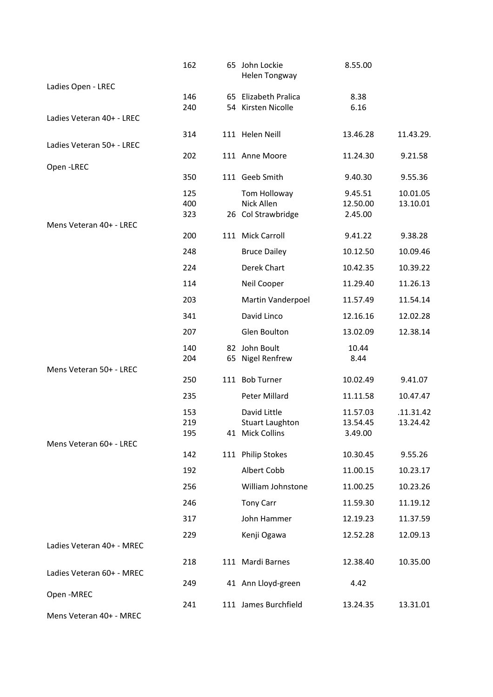|                           | 162        |    | 65 John Lockie<br><b>Helen Tongway</b>     | 8.55.00             |                       |
|---------------------------|------------|----|--------------------------------------------|---------------------|-----------------------|
| Ladies Open - LREC        |            |    |                                            |                     |                       |
|                           | 146<br>240 |    | 65 Elizabeth Pralica<br>54 Kirsten Nicolle | 8.38<br>6.16        |                       |
| Ladies Veteran 40+ - LREC |            |    |                                            |                     |                       |
|                           | 314        |    | 111 Helen Neill                            | 13.46.28            | 11.43.29.             |
| Ladies Veteran 50+ - LREC |            |    |                                            |                     |                       |
|                           | 202        |    | 111 Anne Moore                             | 11.24.30            | 9.21.58               |
| Open-LREC                 | 350        |    | 111 Geeb Smith                             | 9.40.30             | 9.55.36               |
|                           | 125        |    |                                            |                     |                       |
|                           | 400        |    | Tom Holloway<br>Nick Allen                 | 9.45.51<br>12.50.00 | 10.01.05<br>13.10.01  |
|                           | 323        |    | 26 Col Strawbridge                         | 2.45.00             |                       |
| Mens Veteran 40+ - LREC   |            |    |                                            |                     |                       |
|                           | 200        |    | 111 Mick Carroll                           | 9.41.22             | 9.38.28               |
|                           | 248        |    | <b>Bruce Dailey</b>                        | 10.12.50            | 10.09.46              |
|                           | 224        |    | Derek Chart                                | 10.42.35            | 10.39.22              |
|                           | 114        |    | Neil Cooper                                | 11.29.40            | 11.26.13              |
|                           | 203        |    | Martin Vanderpoel                          | 11.57.49            | 11.54.14              |
|                           | 341        |    | David Linco                                | 12.16.16            | 12.02.28              |
|                           | 207        |    | Glen Boulton                               | 13.02.09            | 12.38.14              |
|                           | 140        | 82 | John Boult                                 | 10.44               |                       |
|                           | 204        |    | 65 Nigel Renfrew                           | 8.44                |                       |
| Mens Veteran 50+ - LREC   | 250        |    | 111 Bob Turner                             | 10.02.49            | 9.41.07               |
|                           |            |    | Peter Millard                              |                     |                       |
|                           | 235        |    |                                            | 11.11.58            | 10.47.47              |
|                           | 153<br>219 |    | David Little                               | 11.57.03            | .11.31.42<br>13.24.42 |
|                           | 195        |    | <b>Stuart Laughton</b><br>41 Mick Collins  | 13.54.45<br>3.49.00 |                       |
| Mens Veteran 60+ - LREC   |            |    |                                            |                     |                       |
|                           | 142        |    | 111 Philip Stokes                          | 10.30.45            | 9.55.26               |
|                           | 192        |    | Albert Cobb                                | 11.00.15            | 10.23.17              |
|                           | 256        |    | William Johnstone                          | 11.00.25            | 10.23.26              |
|                           | 246        |    | Tony Carr                                  | 11.59.30            | 11.19.12              |
|                           | 317        |    | John Hammer                                | 12.19.23            | 11.37.59              |
|                           | 229        |    | Kenji Ogawa                                | 12.52.28            | 12.09.13              |
| Ladies Veteran 40+ - MREC |            |    |                                            |                     |                       |
|                           | 218        |    | 111 Mardi Barnes                           | 12.38.40            | 10.35.00              |
| Ladies Veteran 60+ - MREC |            |    |                                            |                     |                       |
| Open-MREC                 | 249        |    | 41 Ann Lloyd-green                         | 4.42                |                       |
|                           | 241        |    | 111 James Burchfield                       | 13.24.35            | 13.31.01              |
| Mens Veteran 40+ - MREC   |            |    |                                            |                     |                       |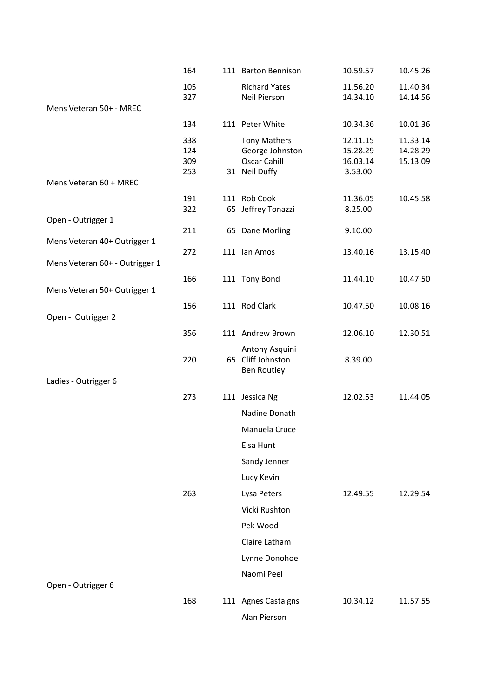|                                | 164        | 111 Barton Bennison                    | 10.59.57             | 10.45.26             |
|--------------------------------|------------|----------------------------------------|----------------------|----------------------|
|                                | 105        | <b>Richard Yates</b>                   | 11.56.20             | 11.40.34             |
|                                | 327        | Neil Pierson                           | 14.34.10             | 14.14.56             |
| Mens Veteran 50+ - MREC        |            |                                        |                      |                      |
|                                | 134        | 111 Peter White                        | 10.34.36             | 10.01.36             |
|                                | 338        | <b>Tony Mathers</b>                    | 12.11.15             | 11.33.14             |
|                                | 124<br>309 | George Johnston<br><b>Oscar Cahill</b> | 15.28.29<br>16.03.14 | 14.28.29<br>15.13.09 |
|                                | 253        | 31 Neil Duffy                          | 3.53.00              |                      |
| Mens Veteran 60 + MREC         |            |                                        |                      |                      |
|                                | 191        | 111 Rob Cook                           | 11.36.05             | 10.45.58             |
|                                | 322        | 65 Jeffrey Tonazzi                     | 8.25.00              |                      |
| Open - Outrigger 1             | 211        | 65 Dane Morling                        | 9.10.00              |                      |
| Mens Veteran 40+ Outrigger 1   |            |                                        |                      |                      |
|                                | 272        | 111 Ian Amos                           | 13.40.16             | 13.15.40             |
| Mens Veteran 60+ - Outrigger 1 |            |                                        |                      |                      |
|                                | 166        | 111 Tony Bond                          | 11.44.10             | 10.47.50             |
| Mens Veteran 50+ Outrigger 1   |            |                                        |                      |                      |
|                                | 156        | 111 Rod Clark                          | 10.47.50             | 10.08.16             |
| Open - Outrigger 2             |            |                                        |                      |                      |
|                                | 356        | 111 Andrew Brown                       | 12.06.10             | 12.30.51             |
|                                |            | Antony Asquini                         |                      |                      |
|                                | 220        | 65 Cliff Johnston                      | 8.39.00              |                      |
| Ladies - Outrigger 6           |            | Ben Routley                            |                      |                      |
|                                | 273        | 111 Jessica Ng                         | 12.02.53             | 11.44.05             |
|                                |            |                                        |                      |                      |
|                                |            | Nadine Donath                          |                      |                      |
|                                |            | Manuela Cruce                          |                      |                      |
|                                |            | Elsa Hunt                              |                      |                      |
|                                |            | Sandy Jenner                           |                      |                      |
|                                |            | Lucy Kevin                             |                      |                      |
|                                | 263        | Lysa Peters                            | 12.49.55             | 12.29.54             |
|                                |            | Vicki Rushton                          |                      |                      |
|                                |            | Pek Wood                               |                      |                      |
|                                |            | Claire Latham                          |                      |                      |
|                                |            | Lynne Donohoe                          |                      |                      |
|                                |            | Naomi Peel                             |                      |                      |
| Open - Outrigger 6             |            |                                        |                      |                      |
|                                | 168        | 111 Agnes Castaigns                    | 10.34.12             | 11.57.55             |
|                                |            |                                        |                      |                      |
|                                |            | Alan Pierson                           |                      |                      |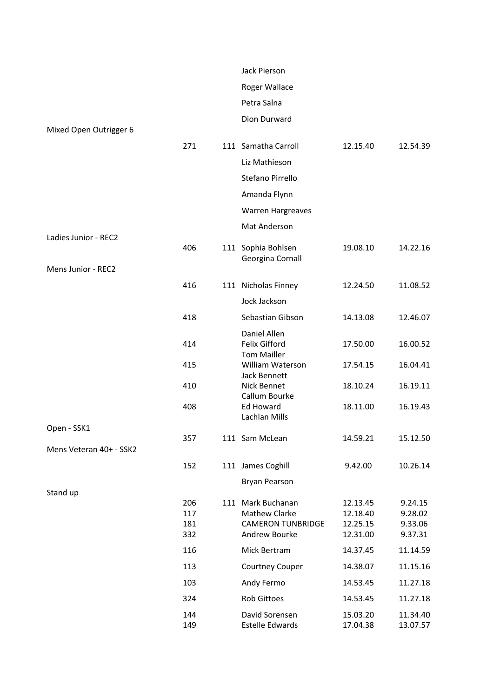|                         |            | Jack Pierson                              |                      |                      |
|-------------------------|------------|-------------------------------------------|----------------------|----------------------|
|                         |            | Roger Wallace                             |                      |                      |
|                         |            | Petra Salna                               |                      |                      |
|                         |            | Dion Durward                              |                      |                      |
| Mixed Open Outrigger 6  |            |                                           |                      |                      |
|                         | 271        | 111 Samatha Carroll                       | 12.15.40             | 12.54.39             |
|                         |            | Liz Mathieson                             |                      |                      |
|                         |            | Stefano Pirrello                          |                      |                      |
|                         |            | Amanda Flynn                              |                      |                      |
|                         |            | <b>Warren Hargreaves</b>                  |                      |                      |
|                         |            | Mat Anderson                              |                      |                      |
| Ladies Junior - REC2    |            |                                           |                      |                      |
|                         | 406        | 111 Sophia Bohlsen<br>Georgina Cornall    | 19.08.10             | 14.22.16             |
| Mens Junior - REC2      |            |                                           |                      |                      |
|                         | 416        | 111 Nicholas Finney                       | 12.24.50             | 11.08.52             |
|                         |            | Jock Jackson                              |                      |                      |
|                         | 418        | Sebastian Gibson                          | 14.13.08             | 12.46.07             |
|                         |            | Daniel Allen                              |                      |                      |
|                         | 414        | Felix Gifford<br><b>Tom Mailler</b>       | 17.50.00             | 16.00.52             |
|                         | 415        | William Waterson                          | 17.54.15             | 16.04.41             |
|                         | 410        | Jack Bennett<br>Nick Bennet               | 18.10.24             | 16.19.11             |
|                         |            | Callum Bourke                             |                      |                      |
|                         | 408        | <b>Ed Howard</b><br>Lachlan Mills         | 18.11.00             | 16.19.43             |
| Open - SSK1             |            |                                           |                      |                      |
|                         | 357        | 111 Sam McLean                            | 14.59.21             | 15.12.50             |
| Mens Veteran 40+ - SSK2 |            |                                           |                      |                      |
|                         | 152        | 111 James Coghill                         | 9.42.00              | 10.26.14             |
| Stand up                |            | <b>Bryan Pearson</b>                      |                      |                      |
|                         | 206        | 111 Mark Buchanan                         | 12.13.45             | 9.24.15              |
|                         | 117        | <b>Mathew Clarke</b>                      | 12.18.40             | 9.28.02              |
|                         | 181<br>332 | <b>CAMERON TUNBRIDGE</b><br>Andrew Bourke | 12.25.15             | 9.33.06<br>9.37.31   |
|                         |            |                                           | 12.31.00             |                      |
|                         | 116        | Mick Bertram                              | 14.37.45             | 11.14.59             |
|                         | 113        | Courtney Couper                           | 14.38.07             | 11.15.16             |
|                         | 103        | Andy Fermo                                | 14.53.45             | 11.27.18             |
|                         | 324        | Rob Gittoes                               | 14.53.45             | 11.27.18             |
|                         | 144<br>149 | David Sorensen<br><b>Estelle Edwards</b>  | 15.03.20<br>17.04.38 | 11.34.40<br>13.07.57 |
|                         |            |                                           |                      |                      |